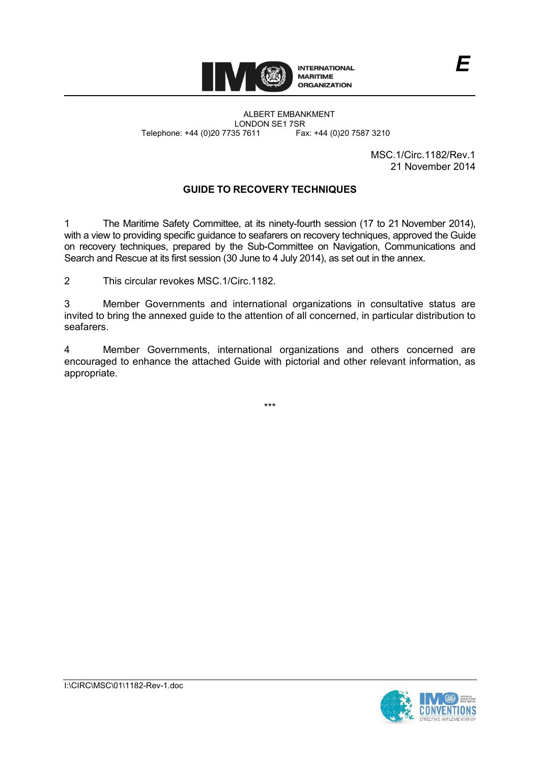

ALBERT EMBANKMENT LONDON SE1 7SR Telephone: +44 (0)20 7735 7611 Fax: +44 (0)20 7587 3210

> MSC.1/Circ.1182/Rev.1 21 November 2014

*E*

# **GUIDE TO RECOVERY TECHNIQUES**

1 The Maritime Safety Committee, at its ninety-fourth session (17 to 21 November 2014), with a view to providing specific guidance to seafarers on recovery techniques, approved the Guide on recovery techniques, prepared by the Sub-Committee on Navigation, Communications and Search and Rescue at its first session (30 June to 4 July 2014), as set out in the annex.

2 This circular revokes MSC.1/Circ.1182.

3 Member Governments and international organizations in consultative status are invited to bring the annexed guide to the attention of all concerned, in particular distribution to seafarers.

4 Member Governments, international organizations and others concerned are encouraged to enhance the attached Guide with pictorial and other relevant information, as appropriate.

\*\*\*

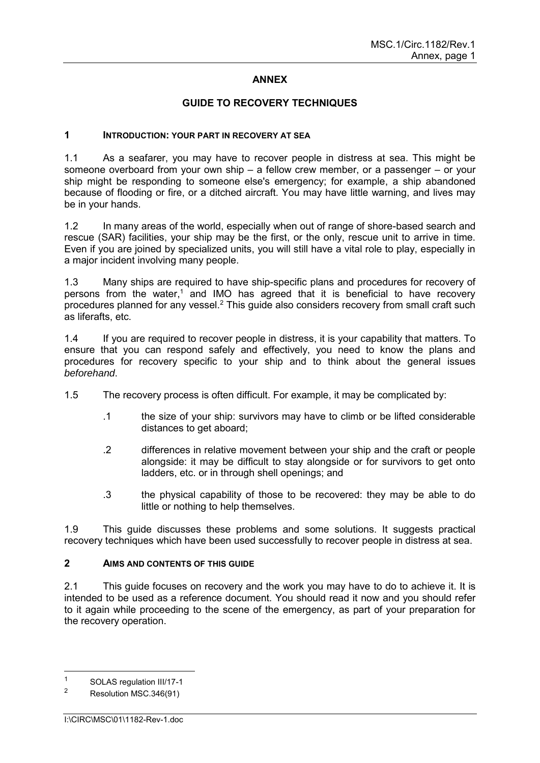## **ANNEX**

## **GUIDE TO RECOVERY TECHNIQUES**

#### **1 INTRODUCTION: YOUR PART IN RECOVERY AT SEA**

1.1 As a seafarer, you may have to recover people in distress at sea. This might be someone overboard from your own ship – a fellow crew member, or a passenger – or your ship might be responding to someone else's emergency; for example, a ship abandoned because of flooding or fire, or a ditched aircraft. You may have little warning, and lives may be in your hands.

1.2 In many areas of the world, especially when out of range of shore-based search and rescue (SAR) facilities, your ship may be the first, or the only, rescue unit to arrive in time. Even if you are joined by specialized units, you will still have a vital role to play, especially in a major incident involving many people.

1.3 Many ships are required to have ship-specific plans and procedures for recovery of persons from the water,<sup>1</sup> and IMO has agreed that it is beneficial to have recovery procedures planned for any vessel.<sup>2</sup> This guide also considers recovery from small craft such as liferafts, etc.

1.4 If you are required to recover people in distress, it is your capability that matters. To ensure that you can respond safely and effectively, you need to know the plans and procedures for recovery specific to your ship and to think about the general issues *beforehand*.

- 1.5 The recovery process is often difficult. For example, it may be complicated by:
	- .1 the size of your ship: survivors may have to climb or be lifted considerable distances to get aboard;
	- .2 differences in relative movement between your ship and the craft or people alongside: it may be difficult to stay alongside or for survivors to get onto ladders, etc. or in through shell openings; and
	- .3 the physical capability of those to be recovered: they may be able to do little or nothing to help themselves.

1.9 This guide discusses these problems and some solutions. It suggests practical recovery techniques which have been used successfully to recover people in distress at sea.

## **2 AIMS AND CONTENTS OF THIS GUIDE**

2.1 This guide focuses on recovery and the work you may have to do to achieve it. It is intended to be used as a reference document. You should read it now and you should refer to it again while proceeding to the scene of the emergency, as part of your preparation for the recovery operation.

 $\overline{1}$ SOLAS regulation III/17-1

<sup>2</sup> Resolution MSC.346(91)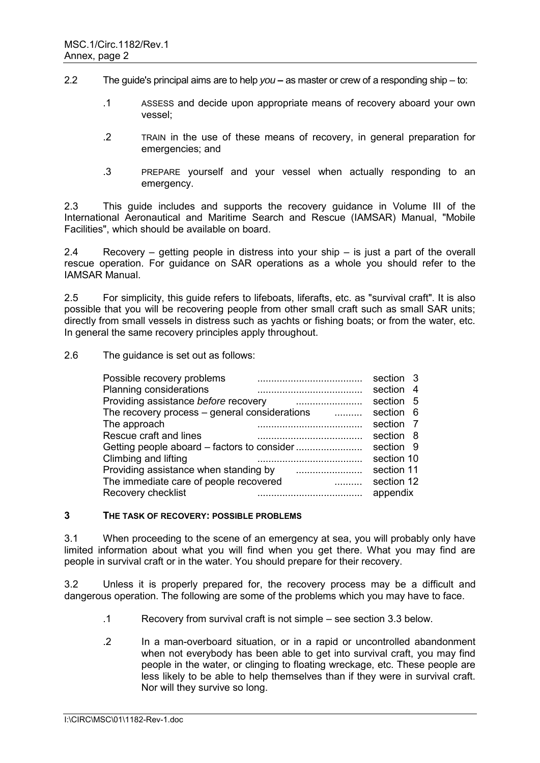- 2.2 The guide's principal aims are to help *you* as master or crew of a responding ship to:
	- .1 ASSESS and decide upon appropriate means of recovery aboard your own vessel;
	- .2 TRAIN in the use of these means of recovery, in general preparation for emergencies; and
	- .3 PREPARE yourself and your vessel when actually responding to an emergency.

2.3 This guide includes and supports the recovery guidance in Volume III of the International Aeronautical and Maritime Search and Rescue (IAMSAR) Manual, "Mobile Facilities", which should be available on board.

2.4 Recovery – getting people in distress into your ship – is just a part of the overall rescue operation. For guidance on SAR operations as a whole you should refer to the IAMSAR Manual.

2.5 For simplicity, this guide refers to lifeboats, liferafts, etc. as "survival craft". It is also possible that you will be recovering people from other small craft such as small SAR units; directly from small vessels in distress such as yachts or fishing boats; or from the water, etc. In general the same recovery principles apply throughout.

2.6 The guidance is set out as follows:

| Possible recovery problems                           | section 3  |     |
|------------------------------------------------------|------------|-----|
| Planning considerations                              | section    | -4  |
| Providing assistance before recovery                 | section    | - 5 |
| The recovery process $-$ general considerations<br>. | section    | - 6 |
| The approach                                         | section    | - 7 |
| Rescue craft and lines                               | section 8  |     |
|                                                      | section 9  |     |
| Climbing and lifting                                 | section 10 |     |
| Providing assistance when standing by                | section 11 |     |
| The immediate care of people recovered               | section 12 |     |
| Recovery checklist                                   | appendix   |     |
|                                                      |            |     |

#### **3 THE TASK OF RECOVERY: POSSIBLE PROBLEMS**

3.1 When proceeding to the scene of an emergency at sea, you will probably only have limited information about what you will find when you get there. What you may find are people in survival craft or in the water. You should prepare for their recovery.

3.2 Unless it is properly prepared for, the recovery process may be a difficult and dangerous operation. The following are some of the problems which you may have to face.

- .1 Recovery from survival craft is not simple see section 3.3 below.
- .2 In a man-overboard situation, or in a rapid or uncontrolled abandonment when not everybody has been able to get into survival craft, you may find people in the water, or clinging to floating wreckage, etc. These people are less likely to be able to help themselves than if they were in survival craft. Nor will they survive so long.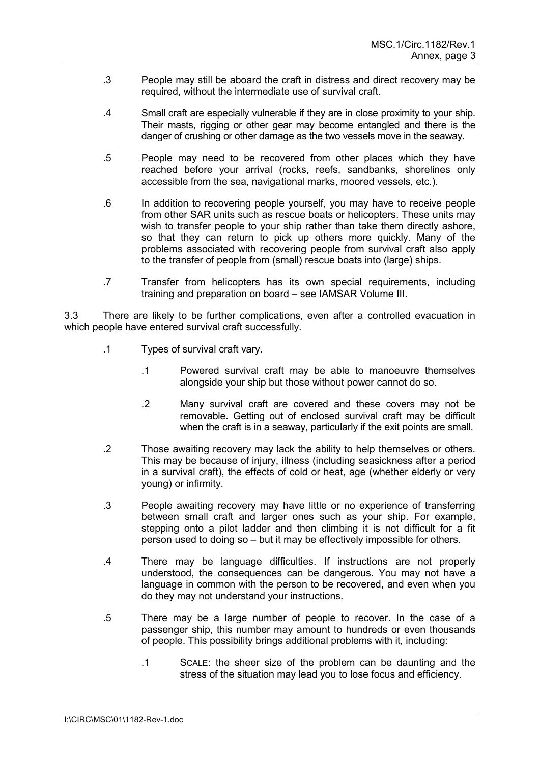- .3 People may still be aboard the craft in distress and direct recovery may be required, without the intermediate use of survival craft.
- .4 Small craft are especially vulnerable if they are in close proximity to your ship. Their masts, rigging or other gear may become entangled and there is the danger of crushing or other damage as the two vessels move in the seaway.
- .5 People may need to be recovered from other places which they have reached before your arrival (rocks, reefs, sandbanks, shorelines only accessible from the sea, navigational marks, moored vessels, etc.).
- .6 In addition to recovering people yourself, you may have to receive people from other SAR units such as rescue boats or helicopters. These units may wish to transfer people to your ship rather than take them directly ashore, so that they can return to pick up others more quickly. Many of the problems associated with recovering people from survival craft also apply to the transfer of people from (small) rescue boats into (large) ships.
- .7 Transfer from helicopters has its own special requirements, including training and preparation on board – see IAMSAR Volume III.

3.3 There are likely to be further complications, even after a controlled evacuation in which people have entered survival craft successfully.

- .1 Types of survival craft vary.
	- .1 Powered survival craft may be able to manoeuvre themselves alongside your ship but those without power cannot do so.
	- .2 Many survival craft are covered and these covers may not be removable. Getting out of enclosed survival craft may be difficult when the craft is in a seaway, particularly if the exit points are small.
- .2 Those awaiting recovery may lack the ability to help themselves or others. This may be because of injury, illness (including seasickness after a period in a survival craft), the effects of cold or heat, age (whether elderly or very young) or infirmity.
- .3 People awaiting recovery may have little or no experience of transferring between small craft and larger ones such as your ship. For example, stepping onto a pilot ladder and then climbing it is not difficult for a fit person used to doing so – but it may be effectively impossible for others.
- .4 There may be language difficulties. If instructions are not properly understood, the consequences can be dangerous. You may not have a language in common with the person to be recovered, and even when you do they may not understand your instructions.
- .5 There may be a large number of people to recover. In the case of a passenger ship, this number may amount to hundreds or even thousands of people. This possibility brings additional problems with it, including:
	- .1 SCALE: the sheer size of the problem can be daunting and the stress of the situation may lead you to lose focus and efficiency.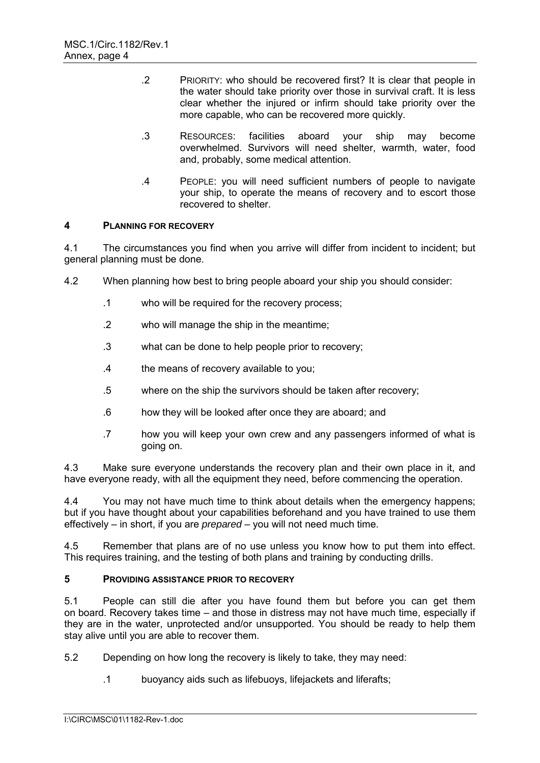- .2 PRIORITY: who should be recovered first? It is clear that people in the water should take priority over those in survival craft. It is less clear whether the injured or infirm should take priority over the more capable, who can be recovered more quickly.
- .3 RESOURCES: facilities aboard your ship may become overwhelmed. Survivors will need shelter, warmth, water, food and, probably, some medical attention.
- .4 PEOPLE: you will need sufficient numbers of people to navigate your ship, to operate the means of recovery and to escort those recovered to shelter.

## **4 PLANNING FOR RECOVERY**

4.1 The circumstances you find when you arrive will differ from incident to incident; but general planning must be done.

- 4.2 When planning how best to bring people aboard your ship you should consider:
	- .1 who will be required for the recovery process;
	- .2 who will manage the ship in the meantime;
	- .3 what can be done to help people prior to recovery;
	- .4 the means of recovery available to you;
	- .5 where on the ship the survivors should be taken after recovery;
	- .6 how they will be looked after once they are aboard; and
	- .7 how you will keep your own crew and any passengers informed of what is going on.

4.3 Make sure everyone understands the recovery plan and their own place in it, and have everyone ready, with all the equipment they need, before commencing the operation.

4.4 You may not have much time to think about details when the emergency happens; but if you have thought about your capabilities beforehand and you have trained to use them effectively – in short, if you are *prepared* – you will not need much time.

4.5 Remember that plans are of no use unless you know how to put them into effect. This requires training, and the testing of both plans and training by conducting drills.

## **5 PROVIDING ASSISTANCE PRIOR TO RECOVERY**

5.1 People can still die after you have found them but before you can get them on board. Recovery takes time – and those in distress may not have much time, especially if they are in the water, unprotected and/or unsupported. You should be ready to help them stay alive until you are able to recover them.

5.2 Depending on how long the recovery is likely to take, they may need:

.1 buoyancy aids such as lifebuoys, lifejackets and liferafts;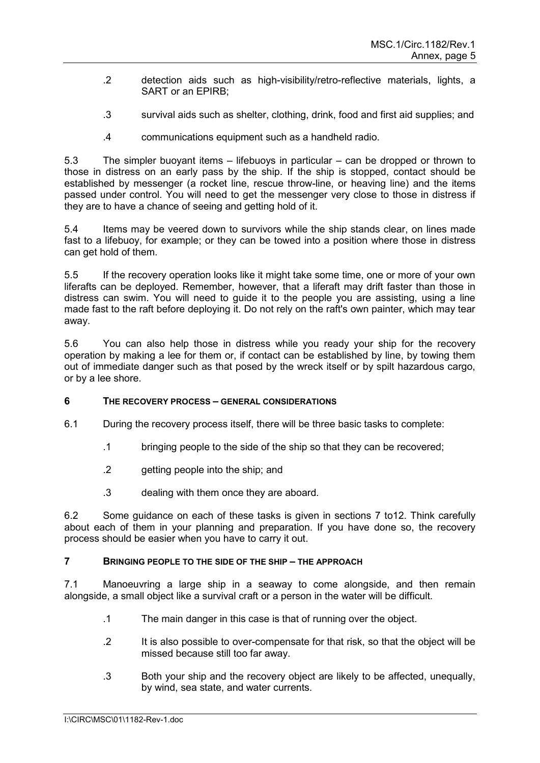- .2 detection aids such as high-visibility/retro-reflective materials, lights, a SART or an EPIRB;
- .3 survival aids such as shelter, clothing, drink, food and first aid supplies; and
- .4 communications equipment such as a handheld radio.

5.3 The simpler buoyant items – lifebuoys in particular – can be dropped or thrown to those in distress on an early pass by the ship. If the ship is stopped, contact should be established by messenger (a rocket line, rescue throw-line, or heaving line) and the items passed under control. You will need to get the messenger very close to those in distress if they are to have a chance of seeing and getting hold of it.

5.4 Items may be veered down to survivors while the ship stands clear, on lines made fast to a lifebuoy, for example; or they can be towed into a position where those in distress can get hold of them.

5.5 If the recovery operation looks like it might take some time, one or more of your own liferafts can be deployed. Remember, however, that a liferaft may drift faster than those in distress can swim. You will need to guide it to the people you are assisting, using a line made fast to the raft before deploying it. Do not rely on the raft's own painter, which may tear away.

5.6 You can also help those in distress while you ready your ship for the recovery operation by making a lee for them or, if contact can be established by line, by towing them out of immediate danger such as that posed by the wreck itself or by spilt hazardous cargo, or by a lee shore.

## **6 THE RECOVERY PROCESS – GENERAL CONSIDERATIONS**

- 6.1 During the recovery process itself, there will be three basic tasks to complete:
	- .1 bringing people to the side of the ship so that they can be recovered;
	- .2 getting people into the ship; and
	- .3 dealing with them once they are aboard.

6.2 Some guidance on each of these tasks is given in sections 7 to12. Think carefully about each of them in your planning and preparation. If you have done so, the recovery process should be easier when you have to carry it out.

## **7 BRINGING PEOPLE TO THE SIDE OF THE SHIP – THE APPROACH**

7.1 Manoeuvring a large ship in a seaway to come alongside, and then remain alongside, a small object like a survival craft or a person in the water will be difficult.

- .1 The main danger in this case is that of running over the object.
- .2 It is also possible to over-compensate for that risk, so that the object will be missed because still too far away.
- .3 Both your ship and the recovery object are likely to be affected, unequally, by wind, sea state, and water currents.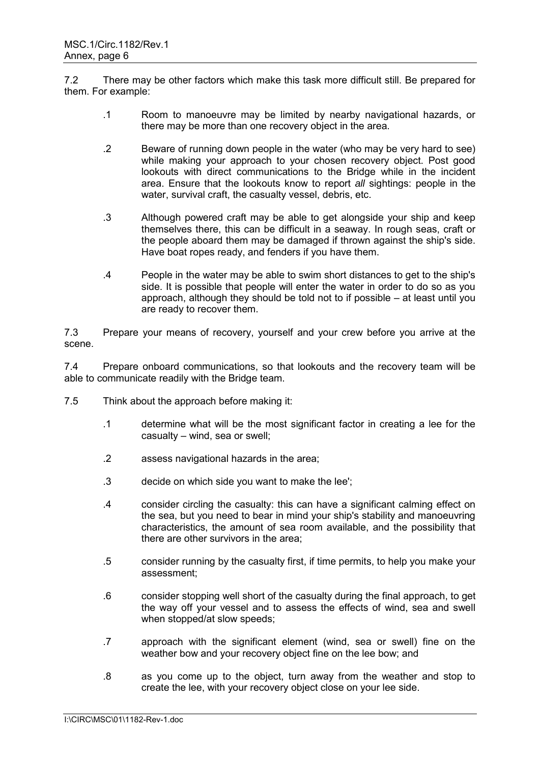7.2 There may be other factors which make this task more difficult still. Be prepared for them. For example:

- .1 Room to manoeuvre may be limited by nearby navigational hazards, or there may be more than one recovery object in the area.
- .2 Beware of running down people in the water (who may be very hard to see) while making your approach to your chosen recovery object. Post good lookouts with direct communications to the Bridge while in the incident area. Ensure that the lookouts know to report *all* sightings: people in the water, survival craft, the casualty vessel, debris, etc.
- .3 Although powered craft may be able to get alongside your ship and keep themselves there, this can be difficult in a seaway. In rough seas, craft or the people aboard them may be damaged if thrown against the ship's side. Have boat ropes ready, and fenders if you have them.
- .4 People in the water may be able to swim short distances to get to the ship's side. It is possible that people will enter the water in order to do so as you approach, although they should be told not to if possible – at least until you are ready to recover them.

7.3 Prepare your means of recovery, yourself and your crew before you arrive at the scene.

7.4 Prepare onboard communications, so that lookouts and the recovery team will be able to communicate readily with the Bridge team.

- 7.5 Think about the approach before making it:
	- .1 determine what will be the most significant factor in creating a lee for the casualty – wind, sea or swell;
	- .2 assess navigational hazards in the area;
	- .3 decide on which side you want to make the lee';
	- .4 consider circling the casualty: this can have a significant calming effect on the sea, but you need to bear in mind your ship's stability and manoeuvring characteristics, the amount of sea room available, and the possibility that there are other survivors in the area;
	- .5 consider running by the casualty first, if time permits, to help you make your assessment;
	- .6 consider stopping well short of the casualty during the final approach, to get the way off your vessel and to assess the effects of wind, sea and swell when stopped/at slow speeds;
	- .7 approach with the significant element (wind, sea or swell) fine on the weather bow and your recovery object fine on the lee bow; and
	- .8 as you come up to the object, turn away from the weather and stop to create the lee, with your recovery object close on your lee side.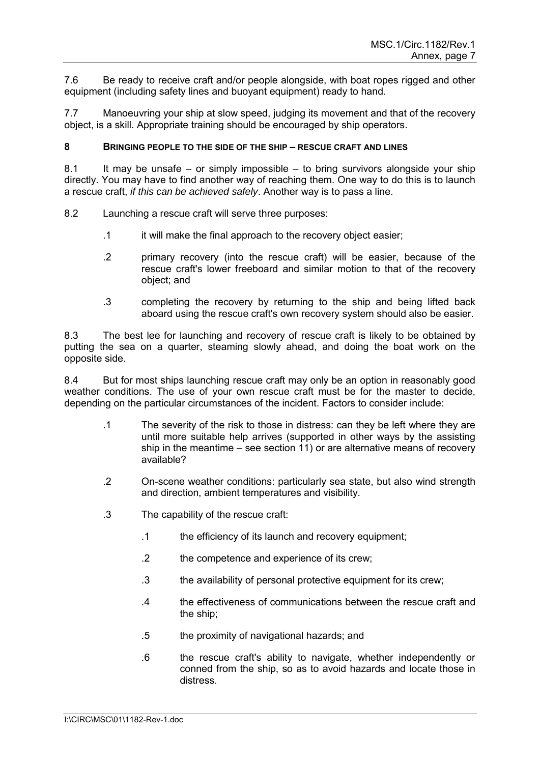7.6 Be ready to receive craft and/or people alongside, with boat ropes rigged and other equipment (including safety lines and buoyant equipment) ready to hand.

7.7 Manoeuvring your ship at slow speed, judging its movement and that of the recovery object, is a skill. Appropriate training should be encouraged by ship operators.

## **8 BRINGING PEOPLE TO THE SIDE OF THE SHIP – RESCUE CRAFT AND LINES**

8.1 It may be unsafe – or simply impossible – to bring survivors alongside your ship directly. You may have to find another way of reaching them. One way to do this is to launch a rescue craft, *if this can be achieved safely*. Another way is to pass a line.

- 8.2 Launching a rescue craft will serve three purposes:
	- .1 it will make the final approach to the recovery object easier;
	- .2 primary recovery (into the rescue craft) will be easier, because of the rescue craft's lower freeboard and similar motion to that of the recovery object; and
	- .3 completing the recovery by returning to the ship and being lifted back aboard using the rescue craft's own recovery system should also be easier.

8.3 The best lee for launching and recovery of rescue craft is likely to be obtained by putting the sea on a quarter, steaming slowly ahead, and doing the boat work on the opposite side.

8.4 But for most ships launching rescue craft may only be an option in reasonably good weather conditions. The use of your own rescue craft must be for the master to decide, depending on the particular circumstances of the incident. Factors to consider include:

- .1 The severity of the risk to those in distress: can they be left where they are until more suitable help arrives (supported in other ways by the assisting ship in the meantime – see section 11) or are alternative means of recovery available?
- .2 On-scene weather conditions: particularly sea state, but also wind strength and direction, ambient temperatures and visibility.
- .3 The capability of the rescue craft:
	- .1 the efficiency of its launch and recovery equipment;
	- .2 the competence and experience of its crew;
	- .3 the availability of personal protective equipment for its crew;
	- .4 the effectiveness of communications between the rescue craft and the ship;
	- .5 the proximity of navigational hazards; and
	- .6 the rescue craft's ability to navigate, whether independently or conned from the ship, so as to avoid hazards and locate those in distress.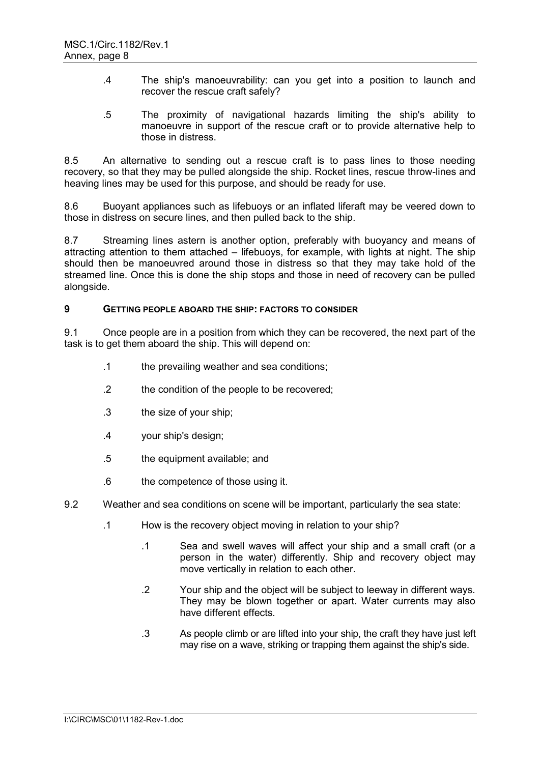- .4 The ship's manoeuvrability: can you get into a position to launch and recover the rescue craft safely?
- .5 The proximity of navigational hazards limiting the ship's ability to manoeuvre in support of the rescue craft or to provide alternative help to those in distress.

8.5 An alternative to sending out a rescue craft is to pass lines to those needing recovery, so that they may be pulled alongside the ship. Rocket lines, rescue throw-lines and heaving lines may be used for this purpose, and should be ready for use.

8.6 Buoyant appliances such as lifebuoys or an inflated liferaft may be veered down to those in distress on secure lines, and then pulled back to the ship.

8.7 Streaming lines astern is another option, preferably with buoyancy and means of attracting attention to them attached – lifebuoys, for example, with lights at night. The ship should then be manoeuvred around those in distress so that they may take hold of the streamed line. Once this is done the ship stops and those in need of recovery can be pulled alongside.

#### **9 GETTING PEOPLE ABOARD THE SHIP: FACTORS TO CONSIDER**

9.1 Once people are in a position from which they can be recovered, the next part of the task is to get them aboard the ship. This will depend on:

- .1 the prevailing weather and sea conditions;
- .2 the condition of the people to be recovered;
- .3 the size of your ship;
- .4 your ship's design;
- .5 the equipment available; and
- .6 the competence of those using it.
- 9.2 Weather and sea conditions on scene will be important, particularly the sea state:
	- .1 How is the recovery object moving in relation to your ship?
		- .1 Sea and swell waves will affect your ship and a small craft (or a person in the water) differently. Ship and recovery object may move vertically in relation to each other.
		- .2 Your ship and the object will be subject to leeway in different ways. They may be blown together or apart. Water currents may also have different effects.
		- .3 As people climb or are lifted into your ship, the craft they have just left may rise on a wave, striking or trapping them against the ship's side.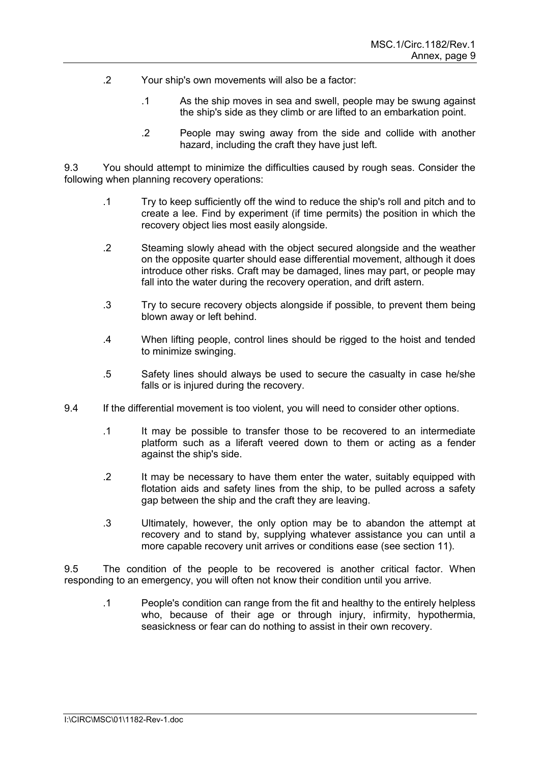- .2 Your ship's own movements will also be a factor:
	- .1 As the ship moves in sea and swell, people may be swung against the ship's side as they climb or are lifted to an embarkation point.
	- .2 People may swing away from the side and collide with another hazard, including the craft they have just left.

9.3 You should attempt to minimize the difficulties caused by rough seas. Consider the following when planning recovery operations:

- .1 Try to keep sufficiently off the wind to reduce the ship's roll and pitch and to create a lee. Find by experiment (if time permits) the position in which the recovery object lies most easily alongside.
- .2 Steaming slowly ahead with the object secured alongside and the weather on the opposite quarter should ease differential movement, although it does introduce other risks. Craft may be damaged, lines may part, or people may fall into the water during the recovery operation, and drift astern.
- .3 Try to secure recovery objects alongside if possible, to prevent them being blown away or left behind.
- .4 When lifting people, control lines should be rigged to the hoist and tended to minimize swinging.
- .5 Safety lines should always be used to secure the casualty in case he/she falls or is injured during the recovery.
- 9.4 If the differential movement is too violent, you will need to consider other options.
	- .1 It may be possible to transfer those to be recovered to an intermediate platform such as a liferaft veered down to them or acting as a fender against the ship's side.
	- .2 It may be necessary to have them enter the water, suitably equipped with flotation aids and safety lines from the ship, to be pulled across a safety gap between the ship and the craft they are leaving.
	- .3 Ultimately, however, the only option may be to abandon the attempt at recovery and to stand by, supplying whatever assistance you can until a more capable recovery unit arrives or conditions ease (see section 11).

9.5 The condition of the people to be recovered is another critical factor. When responding to an emergency, you will often not know their condition until you arrive.

.1 People's condition can range from the fit and healthy to the entirely helpless who, because of their age or through injury, infirmity, hypothermia, seasickness or fear can do nothing to assist in their own recovery.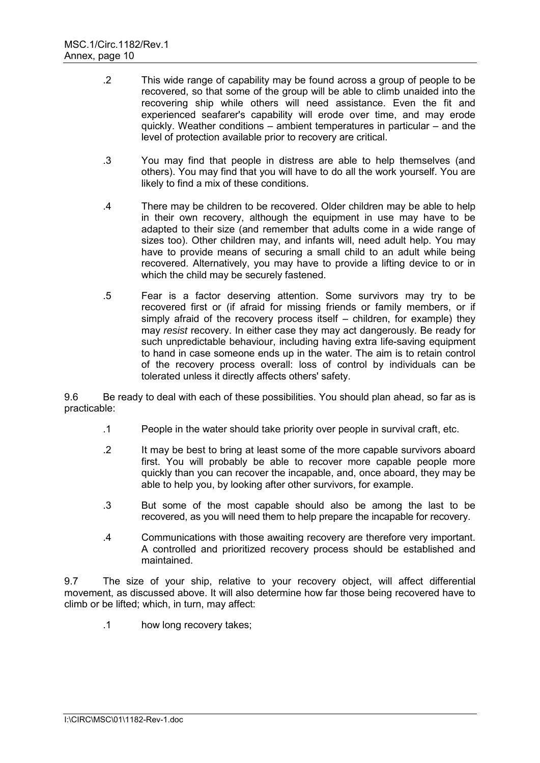- .2 This wide range of capability may be found across a group of people to be recovered, so that some of the group will be able to climb unaided into the recovering ship while others will need assistance. Even the fit and experienced seafarer's capability will erode over time, and may erode quickly. Weather conditions – ambient temperatures in particular – and the level of protection available prior to recovery are critical.
- .3 You may find that people in distress are able to help themselves (and others). You may find that you will have to do all the work yourself. You are likely to find a mix of these conditions.
- .4 There may be children to be recovered. Older children may be able to help in their own recovery, although the equipment in use may have to be adapted to their size (and remember that adults come in a wide range of sizes too). Other children may, and infants will, need adult help. You may have to provide means of securing a small child to an adult while being recovered. Alternatively, you may have to provide a lifting device to or in which the child may be securely fastened.
- .5 Fear is a factor deserving attention. Some survivors may try to be recovered first or (if afraid for missing friends or family members, or if simply afraid of the recovery process itself – children, for example) they may *resist* recovery. In either case they may act dangerously. Be ready for such unpredictable behaviour, including having extra life-saving equipment to hand in case someone ends up in the water. The aim is to retain control of the recovery process overall: loss of control by individuals can be tolerated unless it directly affects others' safety.

9.6 Be ready to deal with each of these possibilities. You should plan ahead, so far as is practicable:

- .1 People in the water should take priority over people in survival craft, etc.
- .2 It may be best to bring at least some of the more capable survivors aboard first. You will probably be able to recover more capable people more quickly than you can recover the incapable, and, once aboard, they may be able to help you, by looking after other survivors, for example.
- .3 But some of the most capable should also be among the last to be recovered, as you will need them to help prepare the incapable for recovery.
- .4 Communications with those awaiting recovery are therefore very important. A controlled and prioritized recovery process should be established and maintained.

9.7 The size of your ship, relative to your recovery object, will affect differential movement, as discussed above. It will also determine how far those being recovered have to climb or be lifted; which, in turn, may affect:

.1 how long recovery takes;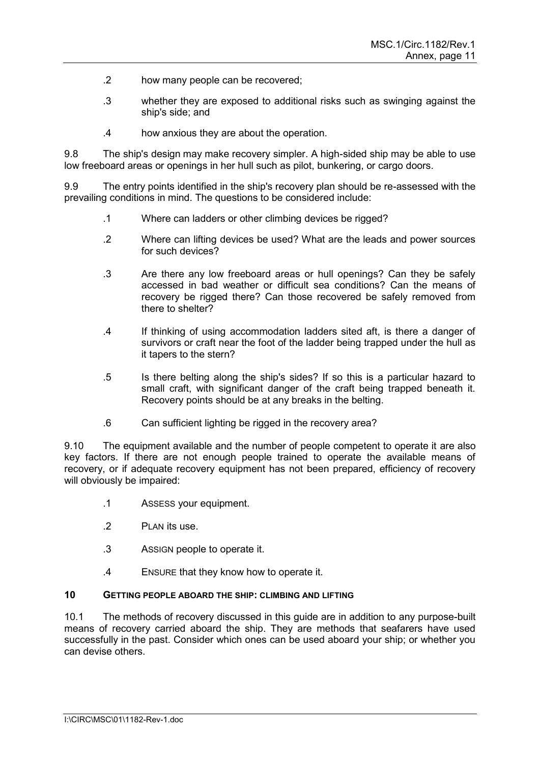- .2 how many people can be recovered;
- .3 whether they are exposed to additional risks such as swinging against the ship's side; and
- .4 how anxious they are about the operation.

9.8 The ship's design may make recovery simpler. A high-sided ship may be able to use low freeboard areas or openings in her hull such as pilot, bunkering, or cargo doors.

9.9 The entry points identified in the ship's recovery plan should be re-assessed with the prevailing conditions in mind. The questions to be considered include:

- .1 Where can ladders or other climbing devices be rigged?
- .2 Where can lifting devices be used? What are the leads and power sources for such devices?
- .3 Are there any low freeboard areas or hull openings? Can they be safely accessed in bad weather or difficult sea conditions? Can the means of recovery be rigged there? Can those recovered be safely removed from there to shelter?
- .4 If thinking of using accommodation ladders sited aft, is there a danger of survivors or craft near the foot of the ladder being trapped under the hull as it tapers to the stern?
- .5 Is there belting along the ship's sides? If so this is a particular hazard to small craft, with significant danger of the craft being trapped beneath it. Recovery points should be at any breaks in the belting.
- .6 Can sufficient lighting be rigged in the recovery area?

9.10 The equipment available and the number of people competent to operate it are also key factors. If there are not enough people trained to operate the available means of recovery, or if adequate recovery equipment has not been prepared, efficiency of recovery will obviously be impaired:

- .1 ASSESS your equipment.
- .2 PLAN its use.
- .3 ASSIGN people to operate it.
- .4 ENSURE that they know how to operate it.

#### **10 GETTING PEOPLE ABOARD THE SHIP: CLIMBING AND LIFTING**

10.1 The methods of recovery discussed in this guide are in addition to any purpose-built means of recovery carried aboard the ship. They are methods that seafarers have used successfully in the past. Consider which ones can be used aboard your ship; or whether you can devise others.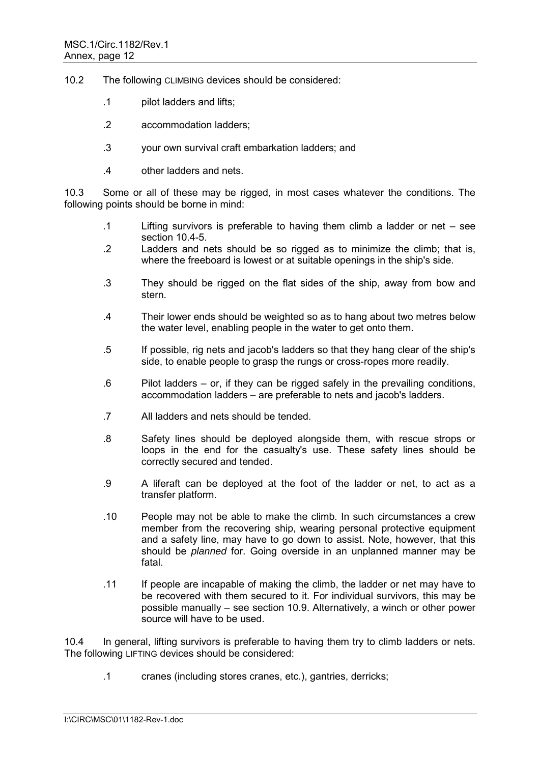- 10.2 The following CLIMBING devices should be considered:
	- .1 pilot ladders and lifts;
	- .2 accommodation ladders;
	- .3 your own survival craft embarkation ladders; and
	- .4 other ladders and nets.

10.3 Some or all of these may be rigged, in most cases whatever the conditions. The following points should be borne in mind:

- .1 Lifting survivors is preferable to having them climb a ladder or net see section 10.4-5.
- .2 Ladders and nets should be so rigged as to minimize the climb; that is, where the freeboard is lowest or at suitable openings in the ship's side.
- .3 They should be rigged on the flat sides of the ship, away from bow and stern.
- .4 Their lower ends should be weighted so as to hang about two metres below the water level, enabling people in the water to get onto them.
- .5 If possible, rig nets and jacob's ladders so that they hang clear of the ship's side, to enable people to grasp the rungs or cross-ropes more readily.
- .6 Pilot ladders or, if they can be rigged safely in the prevailing conditions, accommodation ladders – are preferable to nets and jacob's ladders.
- .7 All ladders and nets should be tended.
- .8 Safety lines should be deployed alongside them, with rescue strops or loops in the end for the casualty's use. These safety lines should be correctly secured and tended.
- .9 A liferaft can be deployed at the foot of the ladder or net, to act as a transfer platform.
- .10 People may not be able to make the climb. In such circumstances a crew member from the recovering ship, wearing personal protective equipment and a safety line, may have to go down to assist. Note, however, that this should be *planned* for. Going overside in an unplanned manner may be fatal.
- .11 If people are incapable of making the climb, the ladder or net may have to be recovered with them secured to it. For individual survivors, this may be possible manually – see section 10.9. Alternatively, a winch or other power source will have to be used.

10.4 In general, lifting survivors is preferable to having them try to climb ladders or nets. The following LIFTING devices should be considered:

.1 cranes (including stores cranes, etc.), gantries, derricks;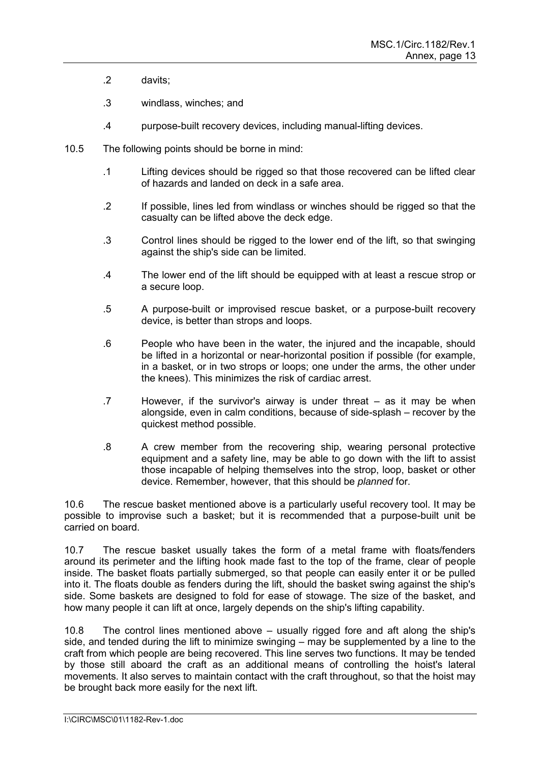- .2 davits;
- .3 windlass, winches; and
- .4 purpose-built recovery devices, including manual-lifting devices.
- 10.5 The following points should be borne in mind:
	- .1 Lifting devices should be rigged so that those recovered can be lifted clear of hazards and landed on deck in a safe area.
	- .2 If possible, lines led from windlass or winches should be rigged so that the casualty can be lifted above the deck edge.
	- .3 Control lines should be rigged to the lower end of the lift, so that swinging against the ship's side can be limited.
	- .4 The lower end of the lift should be equipped with at least a rescue strop or a secure loop.
	- .5 A purpose-built or improvised rescue basket, or a purpose-built recovery device, is better than strops and loops.
	- .6 People who have been in the water, the injured and the incapable, should be lifted in a horizontal or near-horizontal position if possible (for example, in a basket, or in two strops or loops; one under the arms, the other under the knees). This minimizes the risk of cardiac arrest.
	- .7 However, if the survivor's airway is under threat as it may be when alongside, even in calm conditions, because of side-splash – recover by the quickest method possible.
	- .8 A crew member from the recovering ship, wearing personal protective equipment and a safety line, may be able to go down with the lift to assist those incapable of helping themselves into the strop, loop, basket or other device. Remember, however, that this should be *planned* for.

10.6 The rescue basket mentioned above is a particularly useful recovery tool. It may be possible to improvise such a basket; but it is recommended that a purpose-built unit be carried on board.

10.7 The rescue basket usually takes the form of a metal frame with floats/fenders around its perimeter and the lifting hook made fast to the top of the frame, clear of people inside. The basket floats partially submerged, so that people can easily enter it or be pulled into it. The floats double as fenders during the lift, should the basket swing against the ship's side. Some baskets are designed to fold for ease of stowage. The size of the basket, and how many people it can lift at once, largely depends on the ship's lifting capability.

10.8 The control lines mentioned above – usually rigged fore and aft along the ship's side, and tended during the lift to minimize swinging – may be supplemented by a line to the craft from which people are being recovered. This line serves two functions. It may be tended by those still aboard the craft as an additional means of controlling the hoist's lateral movements. It also serves to maintain contact with the craft throughout, so that the hoist may be brought back more easily for the next lift.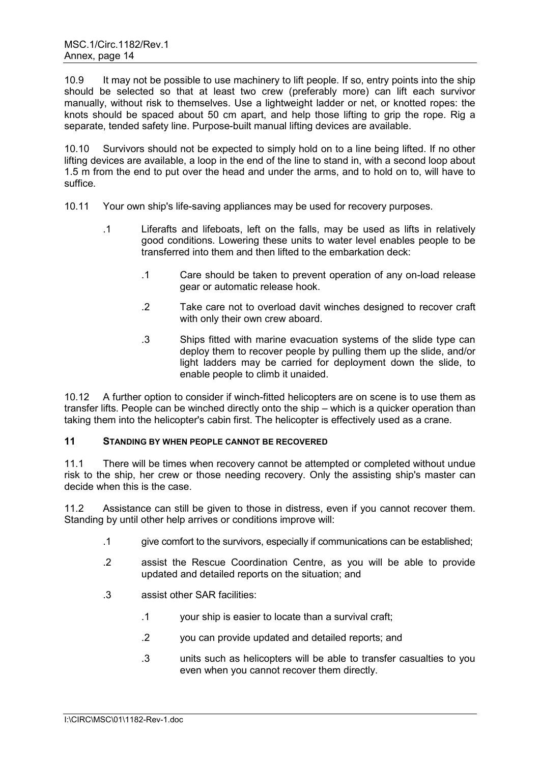10.9 It may not be possible to use machinery to lift people. If so, entry points into the ship should be selected so that at least two crew (preferably more) can lift each survivor manually, without risk to themselves. Use a lightweight ladder or net, or knotted ropes: the knots should be spaced about 50 cm apart, and help those lifting to grip the rope. Rig a separate, tended safety line. Purpose-built manual lifting devices are available.

10.10 Survivors should not be expected to simply hold on to a line being lifted. If no other lifting devices are available, a loop in the end of the line to stand in, with a second loop about 1.5 m from the end to put over the head and under the arms, and to hold on to, will have to suffice.

- 10.11 Your own ship's life-saving appliances may be used for recovery purposes.
	- .1 Liferafts and lifeboats, left on the falls, may be used as lifts in relatively good conditions. Lowering these units to water level enables people to be transferred into them and then lifted to the embarkation deck:
		- .1 Care should be taken to prevent operation of any on-load release gear or automatic release hook.
		- .2 Take care not to overload davit winches designed to recover craft with only their own crew aboard.
		- .3 Ships fitted with marine evacuation systems of the slide type can deploy them to recover people by pulling them up the slide, and/or light ladders may be carried for deployment down the slide, to enable people to climb it unaided.

10.12 A further option to consider if winch-fitted helicopters are on scene is to use them as transfer lifts. People can be winched directly onto the ship – which is a quicker operation than taking them into the helicopter's cabin first. The helicopter is effectively used as a crane.

## **11 STANDING BY WHEN PEOPLE CANNOT BE RECOVERED**

11.1 There will be times when recovery cannot be attempted or completed without undue risk to the ship, her crew or those needing recovery. Only the assisting ship's master can decide when this is the case.

11.2 Assistance can still be given to those in distress, even if you cannot recover them. Standing by until other help arrives or conditions improve will:

- .1 give comfort to the survivors, especially if communications can be established;
- .2 assist the Rescue Coordination Centre, as you will be able to provide updated and detailed reports on the situation; and
- .3 assist other SAR facilities:
	- .1 your ship is easier to locate than a survival craft;
	- .2 you can provide updated and detailed reports; and
	- .3 units such as helicopters will be able to transfer casualties to you even when you cannot recover them directly.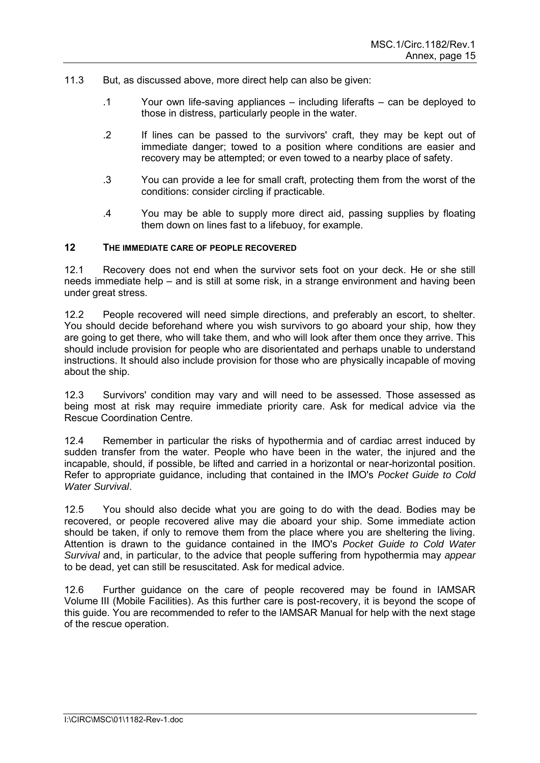- 11.3 But, as discussed above, more direct help can also be given:
	- .1 Your own life-saving appliances including liferafts can be deployed to those in distress, particularly people in the water.
	- .2 If lines can be passed to the survivors' craft, they may be kept out of immediate danger; towed to a position where conditions are easier and recovery may be attempted; or even towed to a nearby place of safety.
	- .3 You can provide a lee for small craft, protecting them from the worst of the conditions: consider circling if practicable.
	- .4 You may be able to supply more direct aid, passing supplies by floating them down on lines fast to a lifebuoy, for example.

#### **12 THE IMMEDIATE CARE OF PEOPLE RECOVERED**

12.1 Recovery does not end when the survivor sets foot on your deck. He or she still needs immediate help – and is still at some risk, in a strange environment and having been under great stress.

12.2 People recovered will need simple directions, and preferably an escort, to shelter. You should decide beforehand where you wish survivors to go aboard your ship, how they are going to get there, who will take them, and who will look after them once they arrive. This should include provision for people who are disorientated and perhaps unable to understand instructions. It should also include provision for those who are physically incapable of moving about the ship.

12.3 Survivors' condition may vary and will need to be assessed. Those assessed as being most at risk may require immediate priority care. Ask for medical advice via the Rescue Coordination Centre.

12.4 Remember in particular the risks of hypothermia and of cardiac arrest induced by sudden transfer from the water. People who have been in the water, the injured and the incapable, should, if possible, be lifted and carried in a horizontal or near-horizontal position. Refer to appropriate guidance, including that contained in the IMO's *Pocket Guide to Cold Water Survival*.

12.5 You should also decide what you are going to do with the dead. Bodies may be recovered, or people recovered alive may die aboard your ship. Some immediate action should be taken, if only to remove them from the place where you are sheltering the living. Attention is drawn to the guidance contained in the IMO's *Pocket Guide to Cold Water Survival* and, in particular, to the advice that people suffering from hypothermia may *appear* to be dead, yet can still be resuscitated. Ask for medical advice.

12.6 Further guidance on the care of people recovered may be found in IAMSAR Volume III (Mobile Facilities). As this further care is post-recovery, it is beyond the scope of this guide. You are recommended to refer to the IAMSAR Manual for help with the next stage of the rescue operation.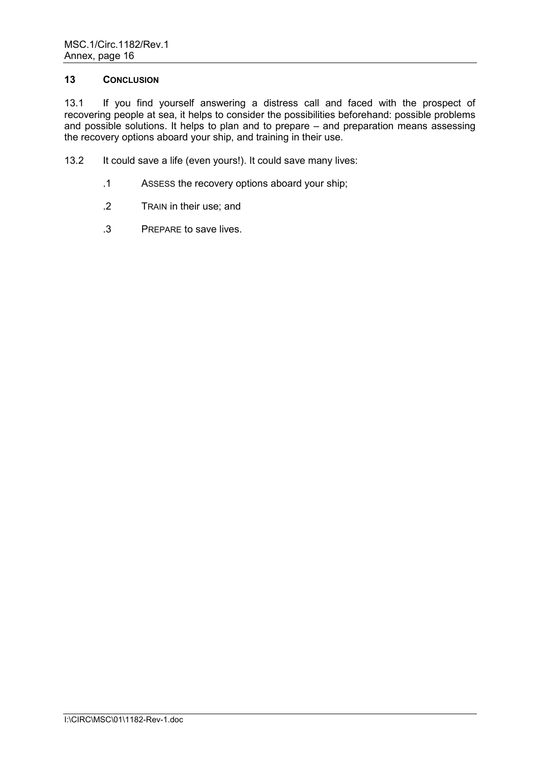#### **13 CONCLUSION**

13.1 If you find yourself answering a distress call and faced with the prospect of recovering people at sea, it helps to consider the possibilities beforehand: possible problems and possible solutions. It helps to plan and to prepare – and preparation means assessing the recovery options aboard your ship, and training in their use.

- 13.2 It could save a life (even yours!). It could save many lives:
	- .1 ASSESS the recovery options aboard your ship;
	- .2 TRAIN in their use; and
	- .3 PREPARE to save lives.